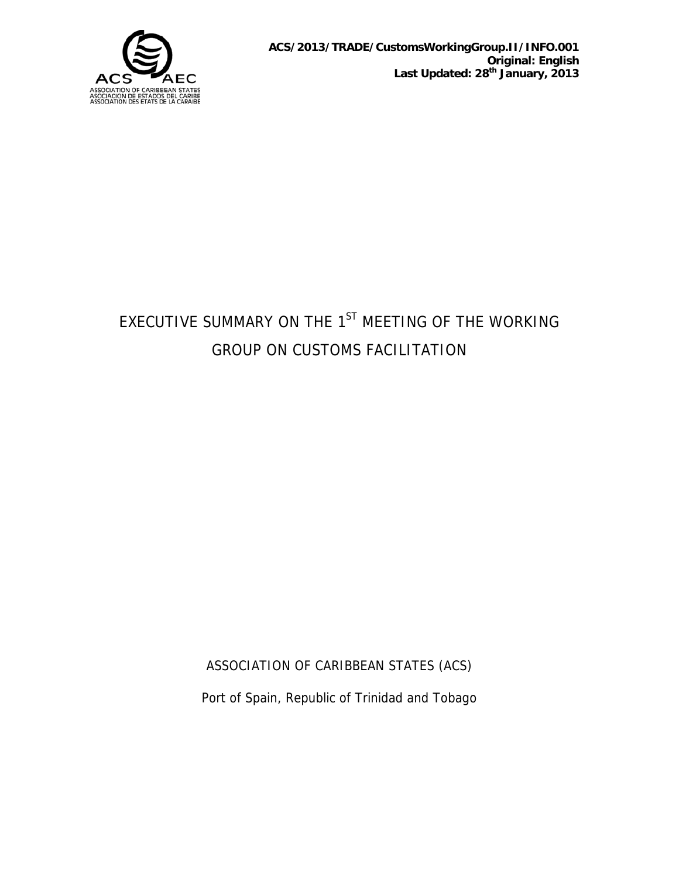

# EXECUTIVE SUMMARY ON THE 1<sup>ST</sup> MEETING OF THE WORKING GROUP ON CUSTOMS FACILITATION

ASSOCIATION OF CARIBBEAN STATES (ACS)

Port of Spain, Republic of Trinidad and Tobago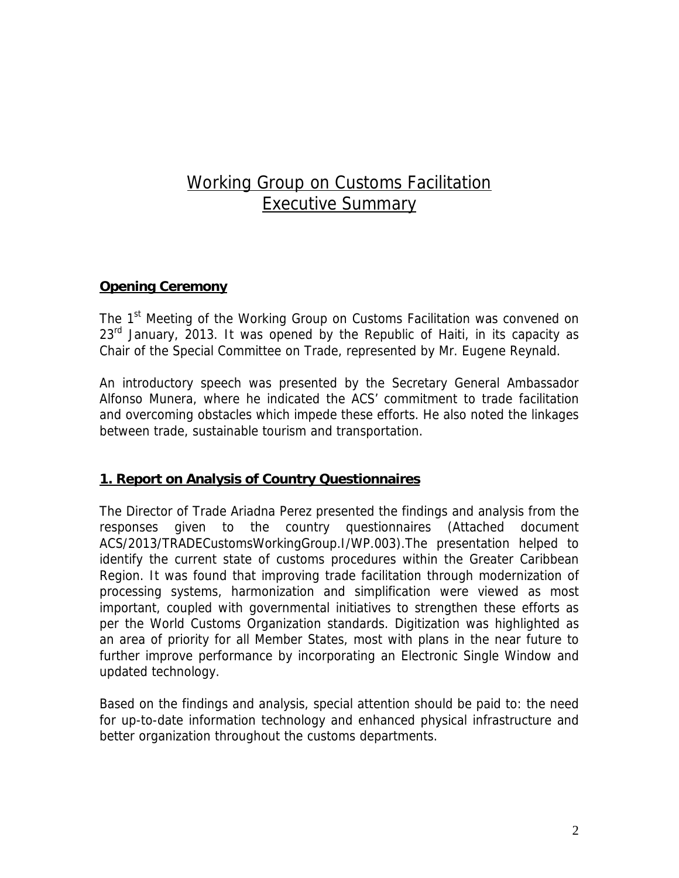# Working Group on Customs Facilitation Executive Summary

# **Opening Ceremony**

The 1<sup>st</sup> Meeting of the Working Group on Customs Facilitation was convened on 23<sup>rd</sup> January, 2013. It was opened by the Republic of Haiti, in its capacity as Chair of the Special Committee on Trade, represented by Mr. Eugene Reynald.

An introductory speech was presented by the Secretary General Ambassador Alfonso Munera, where he indicated the ACS' commitment to trade facilitation and overcoming obstacles which impede these efforts. He also noted the linkages between trade, sustainable tourism and transportation.

## **1. Report on Analysis of Country Questionnaires**

The Director of Trade Ariadna Perez presented the findings and analysis from the responses given to the country questionnaires (Attached document ACS/2013/TRADECustomsWorkingGroup.I/WP.003).The presentation helped to identify the current state of customs procedures within the Greater Caribbean Region. It was found that improving trade facilitation through modernization of processing systems, harmonization and simplification were viewed as most important, coupled with governmental initiatives to strengthen these efforts as per the World Customs Organization standards. Digitization was highlighted as an area of priority for all Member States, most with plans in the near future to further improve performance by incorporating an Electronic Single Window and updated technology.

Based on the findings and analysis, special attention should be paid to: the need for up-to-date information technology and enhanced physical infrastructure and better organization throughout the customs departments.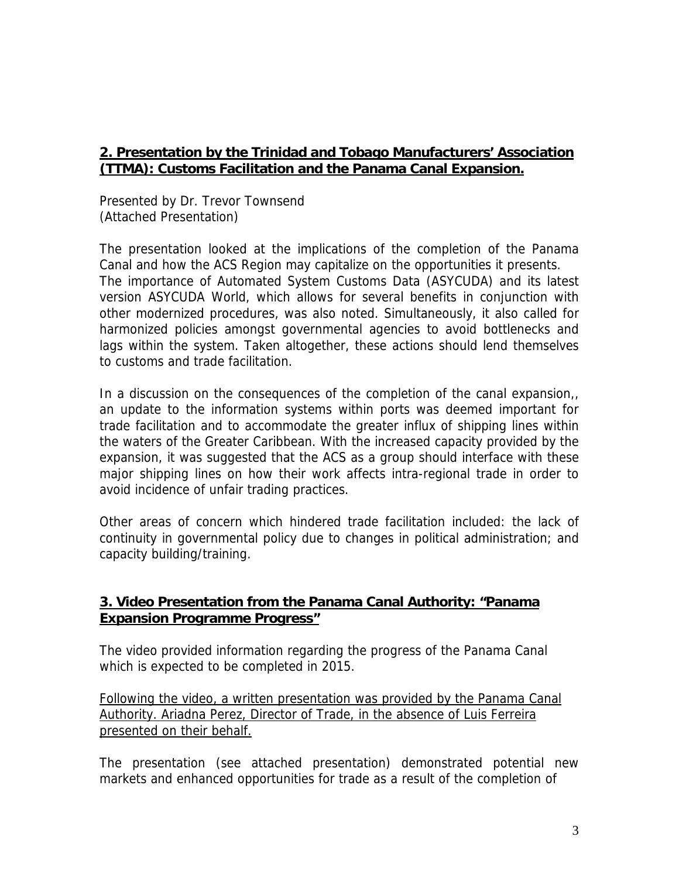# **2. Presentation by the Trinidad and Tobago Manufacturers' Association (TTMA): Customs Facilitation and the Panama Canal Expansion.**

Presented by Dr. Trevor Townsend (Attached Presentation)

The presentation looked at the implications of the completion of the Panama Canal and how the ACS Region may capitalize on the opportunities it presents. The importance of Automated System Customs Data (ASYCUDA) and its latest version ASYCUDA World, which allows for several benefits in conjunction with other modernized procedures, was also noted. Simultaneously, it also called for harmonized policies amongst governmental agencies to avoid bottlenecks and lags within the system. Taken altogether, these actions should lend themselves to customs and trade facilitation.

In a discussion on the consequences of the completion of the canal expansion, an update to the information systems within ports was deemed important for trade facilitation and to accommodate the greater influx of shipping lines within the waters of the Greater Caribbean. With the increased capacity provided by the expansion, it was suggested that the ACS as a group should interface with these major shipping lines on how their work affects intra-regional trade in order to avoid incidence of unfair trading practices.

Other areas of concern which hindered trade facilitation included: the lack of continuity in governmental policy due to changes in political administration; and capacity building/training.

## **3. Video Presentation from the Panama Canal Authority: "Panama Expansion Programme Progress"**

The video provided information regarding the progress of the Panama Canal which is expected to be completed in 2015.

Following the video, a written presentation was provided by the Panama Canal Authority. Ariadna Perez, Director of Trade, in the absence of Luis Ferreira presented on their behalf.

The presentation (see attached presentation) demonstrated potential new markets and enhanced opportunities for trade as a result of the completion of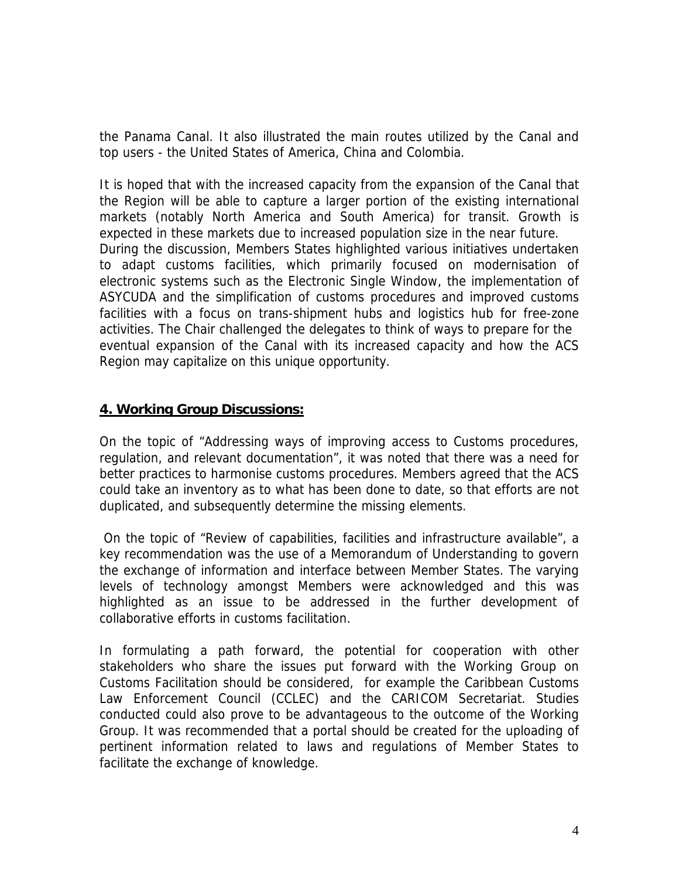the Panama Canal. It also illustrated the main routes utilized by the Canal and top users - the United States of America, China and Colombia.

It is hoped that with the increased capacity from the expansion of the Canal that the Region will be able to capture a larger portion of the existing international markets (notably North America and South America) for transit. Growth is expected in these markets due to increased population size in the near future. During the discussion, Members States highlighted various initiatives undertaken to adapt customs facilities, which primarily focused on modernisation of electronic systems such as the Electronic Single Window, the implementation of ASYCUDA and the simplification of customs procedures and improved customs facilities with a focus on trans-shipment hubs and logistics hub for free-zone activities. The Chair challenged the delegates to think of ways to prepare for the eventual expansion of the Canal with its increased capacity and how the ACS Region may capitalize on this unique opportunity.

#### **4. Working Group Discussions:**

On the topic of "Addressing ways of improving access to Customs procedures, regulation, and relevant documentation", it was noted that there was a need for better practices to harmonise customs procedures. Members agreed that the ACS could take an inventory as to what has been done to date, so that efforts are not duplicated, and subsequently determine the missing elements.

 On the topic of "Review of capabilities, facilities and infrastructure available", a key recommendation was the use of a Memorandum of Understanding to govern the exchange of information and interface between Member States. The varying levels of technology amongst Members were acknowledged and this was highlighted as an issue to be addressed in the further development of collaborative efforts in customs facilitation.

In formulating a path forward, the potential for cooperation with other stakeholders who share the issues put forward with the Working Group on Customs Facilitation should be considered, for example the Caribbean Customs Law Enforcement Council (CCLEC) and the CARICOM Secretariat. Studies conducted could also prove to be advantageous to the outcome of the Working Group. It was recommended that a portal should be created for the uploading of pertinent information related to laws and regulations of Member States to facilitate the exchange of knowledge.